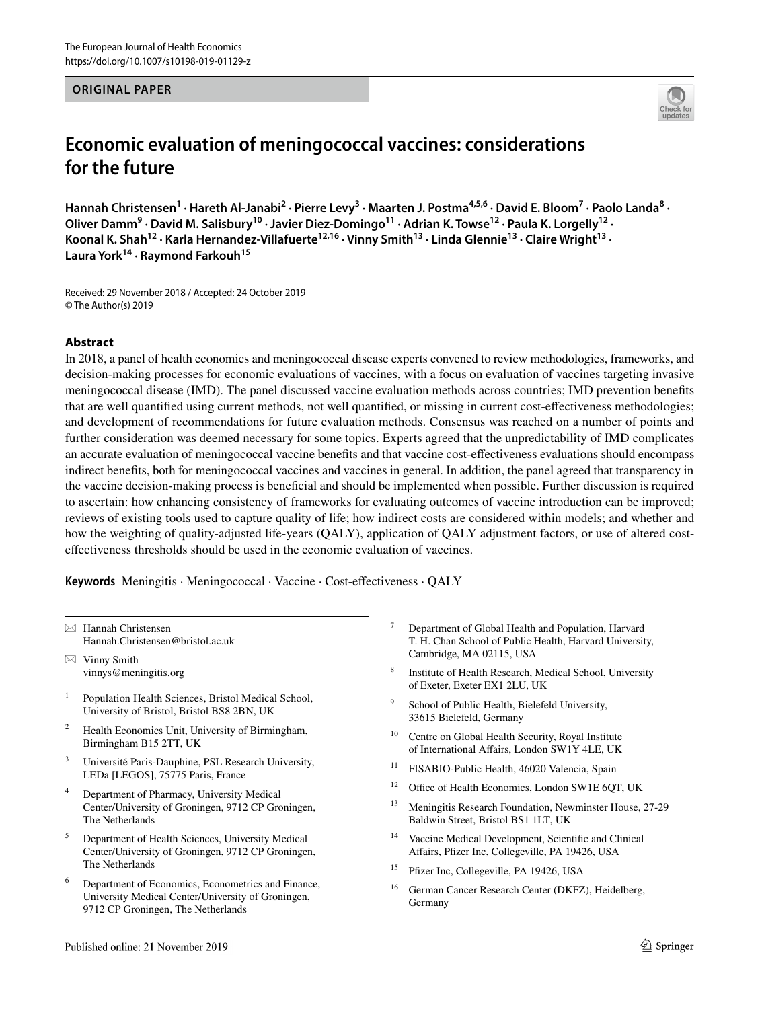## **ORIGINAL PAPER**



# **Economic evaluation of meningococcal vaccines: considerations for the future**

Hannah Christensen<sup>1</sup> · Hareth Al-Janabi<sup>2</sup> · Pierre Levy<sup>3</sup> · Maarten J. Postma<sup>4,5,6</sup> · David E. Bloom<sup>7</sup> · Paolo Landa<sup>8</sup> · Oliver Damm<sup>9</sup> · David M. Salisbury<sup>10</sup> · Javier Diez-Domingo<sup>11</sup> · Adrian K. Towse<sup>12</sup> · Paula K. Lorgelly<sup>12</sup> · Koonal K. Shah<sup>12</sup> · Karla Hernandez-Villafuerte<sup>12,16</sup> · Vinny Smith<sup>13</sup> · Linda Glennie<sup>13</sup> · Claire Wright<sup>13</sup> · **Laura York14 · Raymond Farkouh15**

Received: 29 November 2018 / Accepted: 24 October 2019 © The Author(s) 2019

## **Abstract**

In 2018, a panel of health economics and meningococcal disease experts convened to review methodologies, frameworks, and decision-making processes for economic evaluations of vaccines, with a focus on evaluation of vaccines targeting invasive meningococcal disease (IMD). The panel discussed vaccine evaluation methods across countries; IMD prevention benefts that are well quantifed using current methods, not well quantifed, or missing in current cost-efectiveness methodologies; and development of recommendations for future evaluation methods. Consensus was reached on a number of points and further consideration was deemed necessary for some topics. Experts agreed that the unpredictability of IMD complicates an accurate evaluation of meningococcal vaccine benefts and that vaccine cost-efectiveness evaluations should encompass indirect benefts, both for meningococcal vaccines and vaccines in general. In addition, the panel agreed that transparency in the vaccine decision-making process is benefcial and should be implemented when possible. Further discussion is required to ascertain: how enhancing consistency of frameworks for evaluating outcomes of vaccine introduction can be improved; reviews of existing tools used to capture quality of life; how indirect costs are considered within models; and whether and how the weighting of quality-adjusted life-years (QALY), application of QALY adjustment factors, or use of altered costefectiveness thresholds should be used in the economic evaluation of vaccines.

**Keywords** Meningitis · Meningococcal · Vaccine · Cost-efectiveness · QALY

|                  | $\boxtimes$ Hannah Christensen<br>Hannah.Christensen@bristol.ac.uk<br>$\boxtimes$ Vinny Smith                                                  | $\overline{7}$ | Department of Global Health and Population, Harvard<br>T. H. Chan School of Public Health, Harvard University,<br>Cambridge, MA 02115, USA |
|------------------|------------------------------------------------------------------------------------------------------------------------------------------------|----------------|--------------------------------------------------------------------------------------------------------------------------------------------|
|                  | vinnys@meningitis.org                                                                                                                          | 8              | Institute of Health Research, Medical School, University<br>of Exeter, Exeter EX1 2LU, UK                                                  |
| $\mathbf{1}$     | Population Health Sciences, Bristol Medical School,<br>University of Bristol, Bristol BS8 2BN, UK                                              | 9              | School of Public Health, Bielefeld University,<br>33615 Bielefeld, Germany                                                                 |
| $\boldsymbol{2}$ | Health Economics Unit, University of Birmingham,<br>Birmingham B15 2TT, UK                                                                     | 10             | Centre on Global Health Security, Royal Institute<br>of International Affairs, London SW1Y 4LE, UK                                         |
| 3                | Université Paris-Dauphine, PSL Research University,<br>LEDa [LEGOS], 75775 Paris, France                                                       | 11             | FISABIO-Public Health, 46020 Valencia, Spain                                                                                               |
| 4                | Department of Pharmacy, University Medical<br>Center/University of Groningen, 9712 CP Groningen,<br>The Netherlands                            | 12             | Office of Health Economics, London SW1E 6QT, UK                                                                                            |
|                  |                                                                                                                                                | 13             | Meningitis Research Foundation, Newminster House, 27-29<br>Baldwin Street, Bristol BS1 1LT, UK                                             |
| 5                | Department of Health Sciences, University Medical<br>Center/University of Groningen, 9712 CP Groningen,                                        | 14             | Vaccine Medical Development, Scientific and Clinical<br>Affairs, Pfizer Inc, Collegeville, PA 19426, USA                                   |
|                  | The Netherlands                                                                                                                                | 15             | Pfizer Inc, Collegeville, PA 19426, USA                                                                                                    |
| 6                | Department of Economics, Econometrics and Finance,<br>University Medical Center/University of Groningen,<br>9712 CP Groningen, The Netherlands | 16             | German Cancer Research Center (DKFZ), Heidelberg,<br>Germany                                                                               |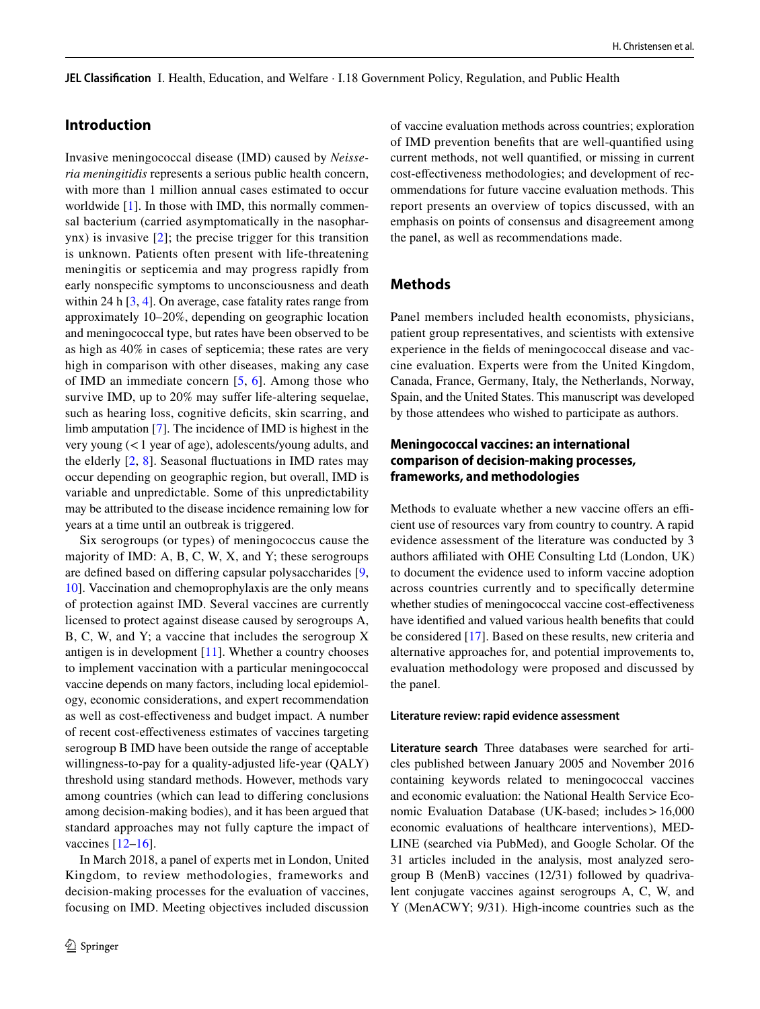**JEL Classifcation** I. Health, Education, and Welfare · I.18 Government Policy, Regulation, and Public Health

# **Introduction**

Invasive meningococcal disease (IMD) caused by *Neisseria meningitidis* represents a serious public health concern, with more than 1 million annual cases estimated to occur worldwide [[1](#page-10-0)]. In those with IMD, this normally commensal bacterium (carried asymptomatically in the nasopharynx) is invasive [\[2\]](#page-10-1); the precise trigger for this transition is unknown. Patients often present with life-threatening meningitis or septicemia and may progress rapidly from early nonspecifc symptoms to unconsciousness and death within 24 h [[3,](#page-10-2) [4\]](#page-10-3). On average, case fatality rates range from approximately 10–20%, depending on geographic location and meningococcal type, but rates have been observed to be as high as 40% in cases of septicemia; these rates are very high in comparison with other diseases, making any case of IMD an immediate concern [\[5](#page-10-4), [6\]](#page-11-0). Among those who survive IMD, up to 20% may suffer life-altering sequelae, such as hearing loss, cognitive deficits, skin scarring, and limb amputation [[7\]](#page-11-1). The incidence of IMD is highest in the very young (<1 year of age), adolescents/young adults, and the elderly  $[2, 8]$  $[2, 8]$  $[2, 8]$ . Seasonal fluctuations in IMD rates may occur depending on geographic region, but overall, IMD is variable and unpredictable. Some of this unpredictability may be attributed to the disease incidence remaining low for years at a time until an outbreak is triggered.

Six serogroups (or types) of meningococcus cause the majority of IMD: A, B, C, W, X, and Y; these serogroups are defned based on difering capsular polysaccharides [[9,](#page-11-3) [10](#page-11-4)]. Vaccination and chemoprophylaxis are the only means of protection against IMD. Several vaccines are currently licensed to protect against disease caused by serogroups A, B, C, W, and Y; a vaccine that includes the serogroup X antigen is in development [[11\]](#page-11-5). Whether a country chooses to implement vaccination with a particular meningococcal vaccine depends on many factors, including local epidemiology, economic considerations, and expert recommendation as well as cost-efectiveness and budget impact. A number of recent cost-efectiveness estimates of vaccines targeting serogroup B IMD have been outside the range of acceptable willingness-to-pay for a quality-adjusted life-year (QALY) threshold using standard methods. However, methods vary among countries (which can lead to difering conclusions among decision-making bodies), and it has been argued that standard approaches may not fully capture the impact of vaccines [\[12–](#page-11-6)[16\]](#page-11-7).

In March 2018, a panel of experts met in London, United Kingdom, to review methodologies, frameworks and decision-making processes for the evaluation of vaccines, focusing on IMD. Meeting objectives included discussion of vaccine evaluation methods across countries; exploration of IMD prevention benefts that are well-quantifed using current methods, not well quantifed, or missing in current cost-efectiveness methodologies; and development of recommendations for future vaccine evaluation methods. This report presents an overview of topics discussed, with an emphasis on points of consensus and disagreement among the panel, as well as recommendations made.

# **Methods**

Panel members included health economists, physicians, patient group representatives, and scientists with extensive experience in the felds of meningococcal disease and vaccine evaluation. Experts were from the United Kingdom, Canada, France, Germany, Italy, the Netherlands, Norway, Spain, and the United States. This manuscript was developed by those attendees who wished to participate as authors.

# **Meningococcal vaccines: an international comparison of decision‑making processes, frameworks, and methodologies**

Methods to evaluate whether a new vaccine offers an efficient use of resources vary from country to country. A rapid evidence assessment of the literature was conducted by 3 authors afliated with OHE Consulting Ltd (London, UK) to document the evidence used to inform vaccine adoption across countries currently and to specifcally determine whether studies of meningococcal vaccine cost-effectiveness have identifed and valued various health benefts that could be considered [\[17](#page-11-8)]. Based on these results, new criteria and alternative approaches for, and potential improvements to, evaluation methodology were proposed and discussed by the panel.

#### **Literature review: rapid evidence assessment**

**Literature search** Three databases were searched for articles published between January 2005 and November 2016 containing keywords related to meningococcal vaccines and economic evaluation: the National Health Service Economic Evaluation Database (UK-based; includes>16,000 economic evaluations of healthcare interventions), MED-LINE (searched via PubMed), and Google Scholar. Of the 31 articles included in the analysis, most analyzed serogroup B (MenB) vaccines (12/31) followed by quadrivalent conjugate vaccines against serogroups A, C, W, and Y (MenACWY; 9/31). High-income countries such as the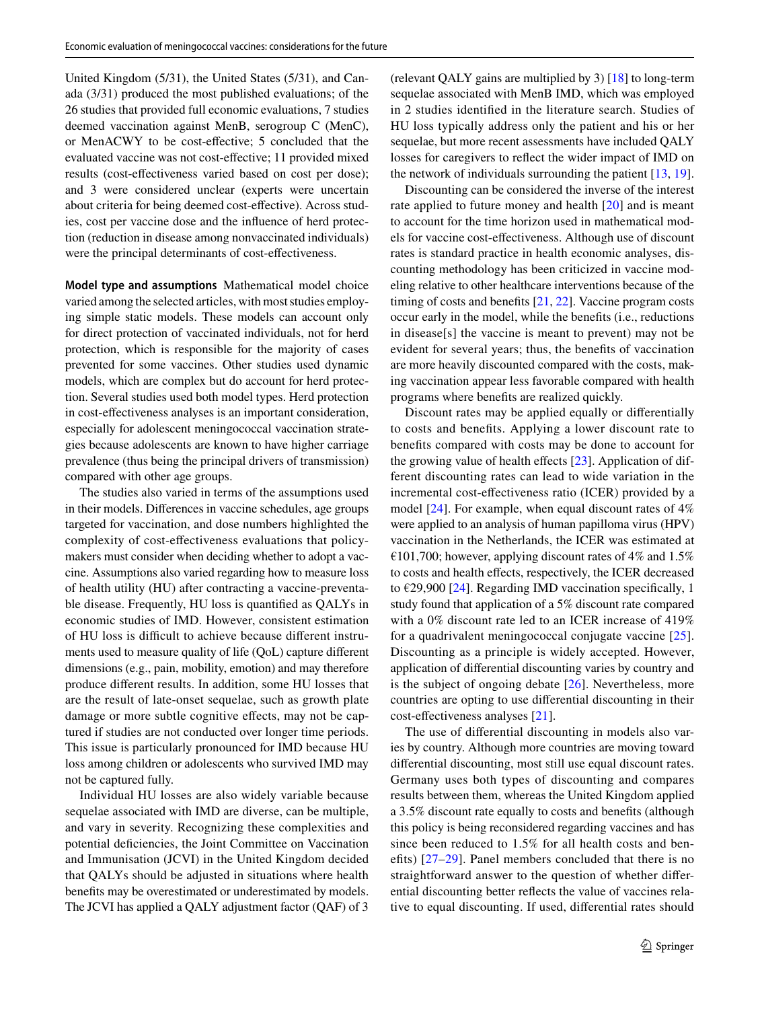United Kingdom (5/31), the United States (5/31), and Canada (3/31) produced the most published evaluations; of the 26 studies that provided full economic evaluations, 7 studies deemed vaccination against MenB, serogroup C (MenC), or MenACWY to be cost-efective; 5 concluded that the evaluated vaccine was not cost-efective; 11 provided mixed results (cost-efectiveness varied based on cost per dose); and 3 were considered unclear (experts were uncertain about criteria for being deemed cost-efective). Across studies, cost per vaccine dose and the infuence of herd protection (reduction in disease among nonvaccinated individuals) were the principal determinants of cost-efectiveness.

**Model type and assumptions** Mathematical model choice varied among the selected articles, with most studies employing simple static models. These models can account only for direct protection of vaccinated individuals, not for herd protection, which is responsible for the majority of cases prevented for some vaccines. Other studies used dynamic models, which are complex but do account for herd protection. Several studies used both model types. Herd protection in cost-efectiveness analyses is an important consideration, especially for adolescent meningococcal vaccination strategies because adolescents are known to have higher carriage prevalence (thus being the principal drivers of transmission) compared with other age groups.

The studies also varied in terms of the assumptions used in their models. Diferences in vaccine schedules, age groups targeted for vaccination, and dose numbers highlighted the complexity of cost-efectiveness evaluations that policymakers must consider when deciding whether to adopt a vaccine. Assumptions also varied regarding how to measure loss of health utility (HU) after contracting a vaccine-preventable disease. Frequently, HU loss is quantifed as QALYs in economic studies of IMD. However, consistent estimation of HU loss is difficult to achieve because different instruments used to measure quality of life (QoL) capture diferent dimensions (e.g., pain, mobility, emotion) and may therefore produce diferent results. In addition, some HU losses that are the result of late-onset sequelae, such as growth plate damage or more subtle cognitive efects, may not be captured if studies are not conducted over longer time periods. This issue is particularly pronounced for IMD because HU loss among children or adolescents who survived IMD may not be captured fully.

Individual HU losses are also widely variable because sequelae associated with IMD are diverse, can be multiple, and vary in severity. Recognizing these complexities and potential defciencies, the Joint Committee on Vaccination and Immunisation (JCVI) in the United Kingdom decided that QALYs should be adjusted in situations where health benefts may be overestimated or underestimated by models. The JCVI has applied a QALY adjustment factor (QAF) of 3 (relevant QALY gains are multiplied by 3) [\[18](#page-11-9)] to long-term sequelae associated with MenB IMD, which was employed in 2 studies identifed in the literature search. Studies of HU loss typically address only the patient and his or her sequelae, but more recent assessments have included QALY losses for caregivers to refect the wider impact of IMD on the network of individuals surrounding the patient [\[13](#page-11-10), [19](#page-11-11)].

Discounting can be considered the inverse of the interest rate applied to future money and health [\[20\]](#page-11-12) and is meant to account for the time horizon used in mathematical models for vaccine cost-efectiveness. Although use of discount rates is standard practice in health economic analyses, discounting methodology has been criticized in vaccine modeling relative to other healthcare interventions because of the timing of costs and benefts [[21,](#page-11-13) [22\]](#page-11-14). Vaccine program costs occur early in the model, while the benefts (i.e., reductions in disease[s] the vaccine is meant to prevent) may not be evident for several years; thus, the benefts of vaccination are more heavily discounted compared with the costs, making vaccination appear less favorable compared with health programs where benefts are realized quickly.

Discount rates may be applied equally or diferentially to costs and benefts. Applying a lower discount rate to benefts compared with costs may be done to account for the growing value of health effects  $[23]$  $[23]$ . Application of different discounting rates can lead to wide variation in the incremental cost-efectiveness ratio (ICER) provided by a model [[24\]](#page-11-16). For example, when equal discount rates of 4% were applied to an analysis of human papilloma virus (HPV) vaccination in the Netherlands, the ICER was estimated at  $\epsilon$ 101,700; however, applying discount rates of 4% and 1.5% to costs and health efects, respectively, the ICER decreased to  $\epsilon$ 29,900 [\[24](#page-11-16)]. Regarding IMD vaccination specifically, 1 study found that application of a 5% discount rate compared with a 0% discount rate led to an ICER increase of 419% for a quadrivalent meningococcal conjugate vaccine [[25](#page-11-17)]. Discounting as a principle is widely accepted. However, application of diferential discounting varies by country and is the subject of ongoing debate  $[26]$ . Nevertheless, more countries are opting to use diferential discounting in their cost-efectiveness analyses [[21\]](#page-11-13).

The use of diferential discounting in models also varies by country. Although more countries are moving toward diferential discounting, most still use equal discount rates. Germany uses both types of discounting and compares results between them, whereas the United Kingdom applied a 3.5% discount rate equally to costs and benefts (although this policy is being reconsidered regarding vaccines and has since been reduced to 1.5% for all health costs and benefts) [[27–](#page-11-19)[29](#page-11-20)]. Panel members concluded that there is no straightforward answer to the question of whether diferential discounting better refects the value of vaccines relative to equal discounting. If used, diferential rates should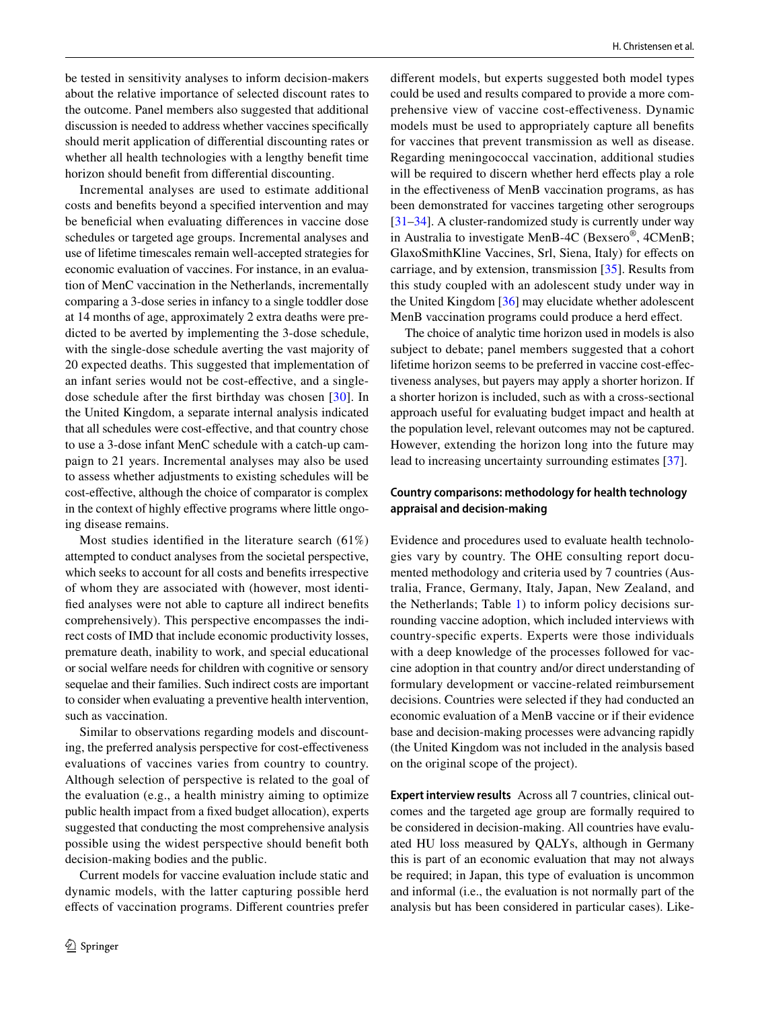be tested in sensitivity analyses to inform decision-makers about the relative importance of selected discount rates to the outcome. Panel members also suggested that additional discussion is needed to address whether vaccines specifcally should merit application of diferential discounting rates or whether all health technologies with a lengthy beneft time horizon should beneft from diferential discounting.

Incremental analyses are used to estimate additional costs and benefts beyond a specifed intervention and may be beneficial when evaluating differences in vaccine dose schedules or targeted age groups. Incremental analyses and use of lifetime timescales remain well-accepted strategies for economic evaluation of vaccines. For instance, in an evaluation of MenC vaccination in the Netherlands, incrementally comparing a 3-dose series in infancy to a single toddler dose at 14 months of age, approximately 2 extra deaths were predicted to be averted by implementing the 3-dose schedule, with the single-dose schedule averting the vast majority of 20 expected deaths. This suggested that implementation of an infant series would not be cost-efective, and a singledose schedule after the frst birthday was chosen [\[30](#page-11-21)]. In the United Kingdom, a separate internal analysis indicated that all schedules were cost-efective, and that country chose to use a 3-dose infant MenC schedule with a catch-up campaign to 21 years. Incremental analyses may also be used to assess whether adjustments to existing schedules will be cost-efective, although the choice of comparator is complex in the context of highly effective programs where little ongoing disease remains.

Most studies identifed in the literature search (61%) attempted to conduct analyses from the societal perspective, which seeks to account for all costs and benefts irrespective of whom they are associated with (however, most identifed analyses were not able to capture all indirect benefts comprehensively). This perspective encompasses the indirect costs of IMD that include economic productivity losses, premature death, inability to work, and special educational or social welfare needs for children with cognitive or sensory sequelae and their families. Such indirect costs are important to consider when evaluating a preventive health intervention, such as vaccination.

Similar to observations regarding models and discounting, the preferred analysis perspective for cost-efectiveness evaluations of vaccines varies from country to country. Although selection of perspective is related to the goal of the evaluation (e.g., a health ministry aiming to optimize public health impact from a fxed budget allocation), experts suggested that conducting the most comprehensive analysis possible using the widest perspective should beneft both decision-making bodies and the public.

Current models for vaccine evaluation include static and dynamic models, with the latter capturing possible herd efects of vaccination programs. Diferent countries prefer diferent models, but experts suggested both model types could be used and results compared to provide a more comprehensive view of vaccine cost-efectiveness. Dynamic models must be used to appropriately capture all benefts for vaccines that prevent transmission as well as disease. Regarding meningococcal vaccination, additional studies will be required to discern whether herd effects play a role in the efectiveness of MenB vaccination programs, as has been demonstrated for vaccines targeting other serogroups [\[31–](#page-11-22)[34\]](#page-11-23). A cluster-randomized study is currently under way in Australia to investigate MenB-4C (Bexsero®, 4CMenB; GlaxoSmithKline Vaccines, Srl, Siena, Italy) for efects on carriage, and by extension, transmission [\[35](#page-12-0)]. Results from this study coupled with an adolescent study under way in the United Kingdom [[36\]](#page-12-1) may elucidate whether adolescent MenB vaccination programs could produce a herd effect.

The choice of analytic time horizon used in models is also subject to debate; panel members suggested that a cohort lifetime horizon seems to be preferred in vaccine cost-efectiveness analyses, but payers may apply a shorter horizon. If a shorter horizon is included, such as with a cross-sectional approach useful for evaluating budget impact and health at the population level, relevant outcomes may not be captured. However, extending the horizon long into the future may lead to increasing uncertainty surrounding estimates [[37](#page-12-2)].

## **Country comparisons: methodology for health technology appraisal and decision‑making**

Evidence and procedures used to evaluate health technologies vary by country. The OHE consulting report documented methodology and criteria used by 7 countries (Australia, France, Germany, Italy, Japan, New Zealand, and the Netherlands; Table [1](#page-4-0)) to inform policy decisions surrounding vaccine adoption, which included interviews with country-specifc experts. Experts were those individuals with a deep knowledge of the processes followed for vaccine adoption in that country and/or direct understanding of formulary development or vaccine-related reimbursement decisions. Countries were selected if they had conducted an economic evaluation of a MenB vaccine or if their evidence base and decision-making processes were advancing rapidly (the United Kingdom was not included in the analysis based on the original scope of the project).

**Expert interview results** Across all 7 countries, clinical outcomes and the targeted age group are formally required to be considered in decision-making. All countries have evaluated HU loss measured by QALYs, although in Germany this is part of an economic evaluation that may not always be required; in Japan, this type of evaluation is uncommon and informal (i.e., the evaluation is not normally part of the analysis but has been considered in particular cases). Like-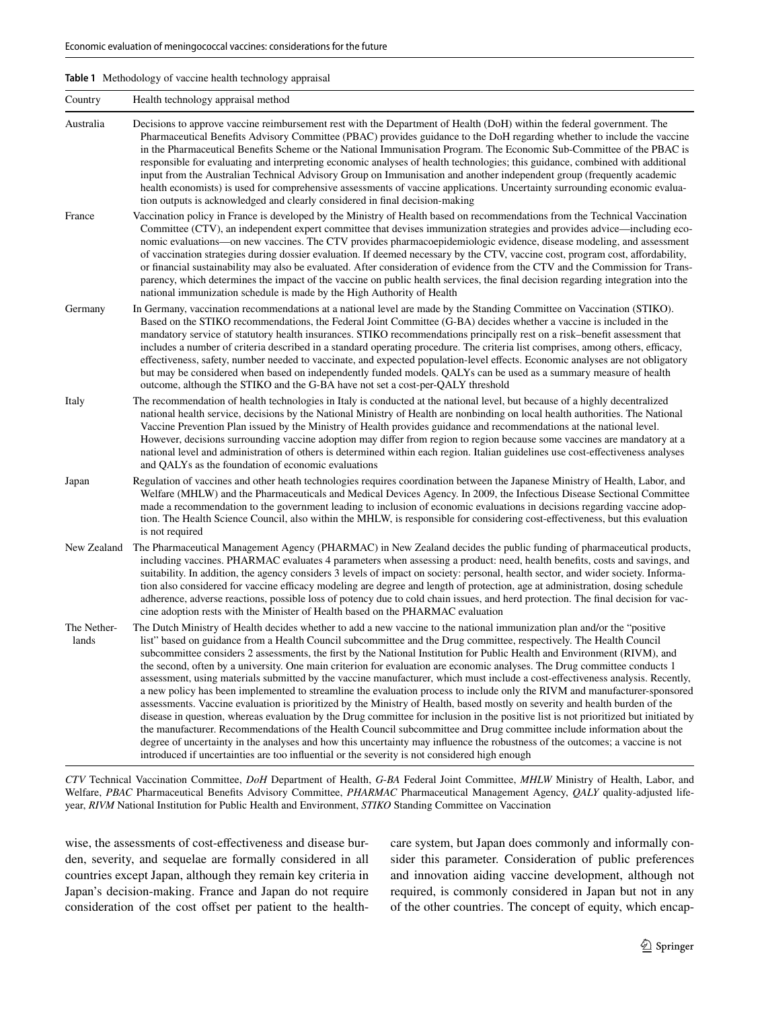#### <span id="page-4-0"></span>**Table 1** Methodology of vaccine health technology appraisal

| Country              | Health technology appraisal method                                                                                                                                                                                                                                                                                                                                                                                                                                                                                                                                                                                                                                                                                                                                                                                                                                                                                                                                                                                                                                                                                                                                                                                                                                                                                                                                                                           |
|----------------------|--------------------------------------------------------------------------------------------------------------------------------------------------------------------------------------------------------------------------------------------------------------------------------------------------------------------------------------------------------------------------------------------------------------------------------------------------------------------------------------------------------------------------------------------------------------------------------------------------------------------------------------------------------------------------------------------------------------------------------------------------------------------------------------------------------------------------------------------------------------------------------------------------------------------------------------------------------------------------------------------------------------------------------------------------------------------------------------------------------------------------------------------------------------------------------------------------------------------------------------------------------------------------------------------------------------------------------------------------------------------------------------------------------------|
| Australia            | Decisions to approve vaccine reimbursement rest with the Department of Health (DoH) within the federal government. The<br>Pharmaceutical Benefits Advisory Committee (PBAC) provides guidance to the DoH regarding whether to include the vaccine<br>in the Pharmaceutical Benefits Scheme or the National Immunisation Program. The Economic Sub-Committee of the PBAC is<br>responsible for evaluating and interpreting economic analyses of health technologies; this guidance, combined with additional<br>input from the Australian Technical Advisory Group on Immunisation and another independent group (frequently academic<br>health economists) is used for comprehensive assessments of vaccine applications. Uncertainty surrounding economic evalua-<br>tion outputs is acknowledged and clearly considered in final decision-making                                                                                                                                                                                                                                                                                                                                                                                                                                                                                                                                                           |
| France               | Vaccination policy in France is developed by the Ministry of Health based on recommendations from the Technical Vaccination<br>Committee (CTV), an independent expert committee that devises immunization strategies and provides advice—including eco-<br>nomic evaluations—on new vaccines. The CTV provides pharmacoepidemiologic evidence, disease modeling, and assessment<br>of vaccination strategies during dossier evaluation. If deemed necessary by the CTV, vaccine cost, program cost, affordability,<br>or financial sustainability may also be evaluated. After consideration of evidence from the CTV and the Commission for Trans-<br>parency, which determines the impact of the vaccine on public health services, the final decision regarding integration into the<br>national immunization schedule is made by the High Authority of Health                                                                                                                                                                                                                                                                                                                                                                                                                                                                                                                                            |
| Germany              | In Germany, vaccination recommendations at a national level are made by the Standing Committee on Vaccination (STIKO).<br>Based on the STIKO recommendations, the Federal Joint Committee (G-BA) decides whether a vaccine is included in the<br>mandatory service of statutory health insurances. STIKO recommendations principally rest on a risk-benefit assessment that<br>includes a number of criteria described in a standard operating procedure. The criteria list comprises, among others, efficacy,<br>effectiveness, safety, number needed to vaccinate, and expected population-level effects. Economic analyses are not obligatory<br>but may be considered when based on independently funded models. QALYs can be used as a summary measure of health<br>outcome, although the STIKO and the G-BA have not set a cost-per-QALY threshold                                                                                                                                                                                                                                                                                                                                                                                                                                                                                                                                                     |
| Italy                | The recommendation of health technologies in Italy is conducted at the national level, but because of a highly decentralized<br>national health service, decisions by the National Ministry of Health are nonbinding on local health authorities. The National<br>Vaccine Prevention Plan issued by the Ministry of Health provides guidance and recommendations at the national level.<br>However, decisions surrounding vaccine adoption may differ from region to region because some vaccines are mandatory at a<br>national level and administration of others is determined within each region. Italian guidelines use cost-effectiveness analyses<br>and QALYs as the foundation of economic evaluations                                                                                                                                                                                                                                                                                                                                                                                                                                                                                                                                                                                                                                                                                              |
| Japan                | Regulation of vaccines and other heath technologies requires coordination between the Japanese Ministry of Health, Labor, and<br>Welfare (MHLW) and the Pharmaceuticals and Medical Devices Agency. In 2009, the Infectious Disease Sectional Committee<br>made a recommendation to the government leading to inclusion of economic evaluations in decisions regarding vaccine adop-<br>tion. The Health Science Council, also within the MHLW, is responsible for considering cost-effectiveness, but this evaluation<br>is not required                                                                                                                                                                                                                                                                                                                                                                                                                                                                                                                                                                                                                                                                                                                                                                                                                                                                    |
| New Zealand          | The Pharmaceutical Management Agency (PHARMAC) in New Zealand decides the public funding of pharmaceutical products,<br>including vaccines. PHARMAC evaluates 4 parameters when assessing a product: need, health benefits, costs and savings, and<br>suitability. In addition, the agency considers 3 levels of impact on society: personal, health sector, and wider society. Informa-<br>tion also considered for vaccine efficacy modeling are degree and length of protection, age at administration, dosing schedule<br>adherence, adverse reactions, possible loss of potency due to cold chain issues, and herd protection. The final decision for vac-<br>cine adoption rests with the Minister of Health based on the PHARMAC evaluation                                                                                                                                                                                                                                                                                                                                                                                                                                                                                                                                                                                                                                                           |
| The Nether-<br>lands | The Dutch Ministry of Health decides whether to add a new vaccine to the national immunization plan and/or the "positive"<br>list" based on guidance from a Health Council subcommittee and the Drug committee, respectively. The Health Council<br>subcommittee considers 2 assessments, the first by the National Institution for Public Health and Environment (RIVM), and<br>the second, often by a university. One main criterion for evaluation are economic analyses. The Drug committee conducts 1<br>assessment, using materials submitted by the vaccine manufacturer, which must include a cost-effectiveness analysis. Recently,<br>a new policy has been implemented to streamline the evaluation process to include only the RIVM and manufacturer-sponsored<br>assessments. Vaccine evaluation is prioritized by the Ministry of Health, based mostly on severity and health burden of the<br>disease in question, whereas evaluation by the Drug committee for inclusion in the positive list is not prioritized but initiated by<br>the manufacturer. Recommendations of the Health Council subcommittee and Drug committee include information about the<br>degree of uncertainty in the analyses and how this uncertainty may influence the robustness of the outcomes; a vaccine is not<br>introduced if uncertainties are too influential or the severity is not considered high enough |

*CTV* Technical Vaccination Committee, *DoH* Department of Health, *G*-*BA* Federal Joint Committee, *MHLW* Ministry of Health, Labor, and Welfare, *PBAC* Pharmaceutical Benefts Advisory Committee, *PHARMAC* Pharmaceutical Management Agency, *QALY* quality-adjusted lifeyear, *RIVM* National Institution for Public Health and Environment, *STIKO* Standing Committee on Vaccination

wise, the assessments of cost-efectiveness and disease burden, severity, and sequelae are formally considered in all countries except Japan, although they remain key criteria in Japan's decision-making. France and Japan do not require consideration of the cost offset per patient to the healthcare system, but Japan does commonly and informally consider this parameter. Consideration of public preferences and innovation aiding vaccine development, although not required, is commonly considered in Japan but not in any of the other countries. The concept of equity, which encap-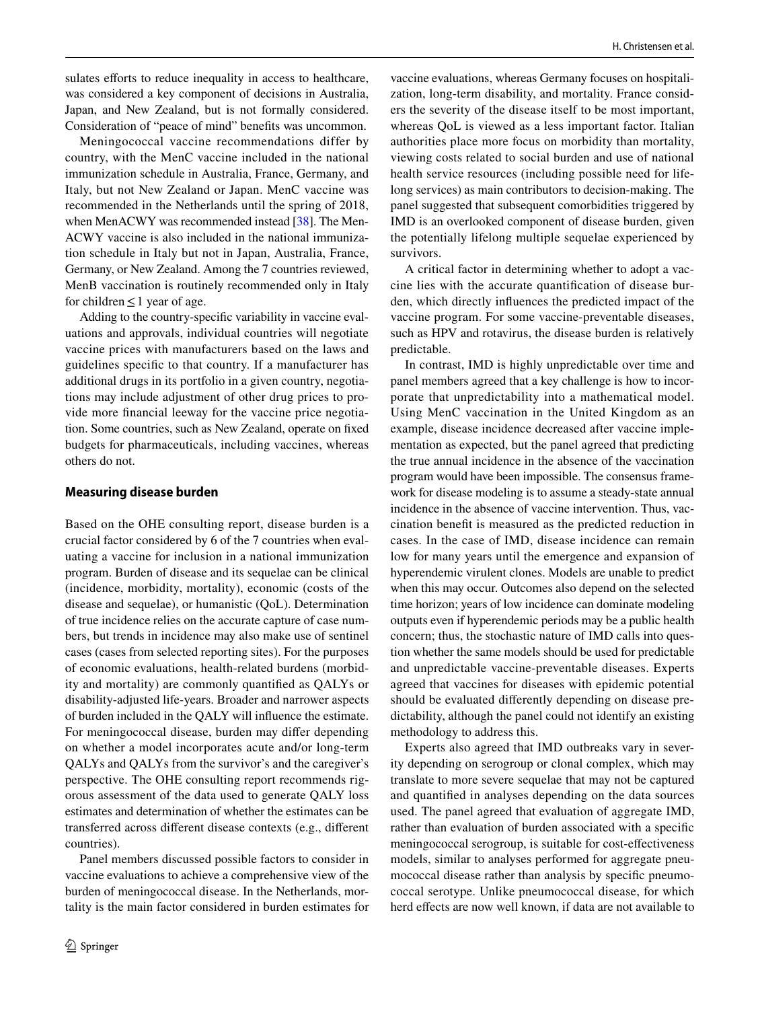sulates efforts to reduce inequality in access to healthcare, was considered a key component of decisions in Australia, Japan, and New Zealand, but is not formally considered. Consideration of "peace of mind" benefts was uncommon.

Meningococcal vaccine recommendations differ by country, with the MenC vaccine included in the national immunization schedule in Australia, France, Germany, and Italy, but not New Zealand or Japan. MenC vaccine was recommended in the Netherlands until the spring of 2018, when MenACWY was recommended instead [[38](#page-12-3)]. The Men-ACWY vaccine is also included in the national immunization schedule in Italy but not in Japan, Australia, France, Germany, or New Zealand. Among the 7 countries reviewed, MenB vaccination is routinely recommended only in Italy for children  $\leq 1$  year of age.

Adding to the country-specifc variability in vaccine evaluations and approvals, individual countries will negotiate vaccine prices with manufacturers based on the laws and guidelines specifc to that country. If a manufacturer has additional drugs in its portfolio in a given country, negotiations may include adjustment of other drug prices to provide more fnancial leeway for the vaccine price negotiation. Some countries, such as New Zealand, operate on fxed budgets for pharmaceuticals, including vaccines, whereas others do not.

#### **Measuring disease burden**

Based on the OHE consulting report, disease burden is a crucial factor considered by 6 of the 7 countries when evaluating a vaccine for inclusion in a national immunization program. Burden of disease and its sequelae can be clinical (incidence, morbidity, mortality), economic (costs of the disease and sequelae), or humanistic (QoL). Determination of true incidence relies on the accurate capture of case numbers, but trends in incidence may also make use of sentinel cases (cases from selected reporting sites). For the purposes of economic evaluations, health-related burdens (morbidity and mortality) are commonly quantifed as QALYs or disability-adjusted life-years. Broader and narrower aspects of burden included in the QALY will infuence the estimate. For meningococcal disease, burden may difer depending on whether a model incorporates acute and/or long-term QALYs and QALYs from the survivor's and the caregiver's perspective. The OHE consulting report recommends rigorous assessment of the data used to generate QALY loss estimates and determination of whether the estimates can be transferred across diferent disease contexts (e.g., diferent countries).

Panel members discussed possible factors to consider in vaccine evaluations to achieve a comprehensive view of the burden of meningococcal disease. In the Netherlands, mortality is the main factor considered in burden estimates for

vaccine evaluations, whereas Germany focuses on hospitalization, long-term disability, and mortality. France considers the severity of the disease itself to be most important, whereas QoL is viewed as a less important factor. Italian authorities place more focus on morbidity than mortality, viewing costs related to social burden and use of national health service resources (including possible need for lifelong services) as main contributors to decision-making. The panel suggested that subsequent comorbidities triggered by IMD is an overlooked component of disease burden, given the potentially lifelong multiple sequelae experienced by survivors.

A critical factor in determining whether to adopt a vaccine lies with the accurate quantifcation of disease burden, which directly infuences the predicted impact of the vaccine program. For some vaccine-preventable diseases, such as HPV and rotavirus, the disease burden is relatively predictable.

In contrast, IMD is highly unpredictable over time and panel members agreed that a key challenge is how to incorporate that unpredictability into a mathematical model. Using MenC vaccination in the United Kingdom as an example, disease incidence decreased after vaccine implementation as expected, but the panel agreed that predicting the true annual incidence in the absence of the vaccination program would have been impossible. The consensus framework for disease modeling is to assume a steady-state annual incidence in the absence of vaccine intervention. Thus, vaccination beneft is measured as the predicted reduction in cases. In the case of IMD, disease incidence can remain low for many years until the emergence and expansion of hyperendemic virulent clones. Models are unable to predict when this may occur. Outcomes also depend on the selected time horizon; years of low incidence can dominate modeling outputs even if hyperendemic periods may be a public health concern; thus, the stochastic nature of IMD calls into question whether the same models should be used for predictable and unpredictable vaccine-preventable diseases. Experts agreed that vaccines for diseases with epidemic potential should be evaluated diferently depending on disease predictability, although the panel could not identify an existing methodology to address this.

Experts also agreed that IMD outbreaks vary in severity depending on serogroup or clonal complex, which may translate to more severe sequelae that may not be captured and quantifed in analyses depending on the data sources used. The panel agreed that evaluation of aggregate IMD, rather than evaluation of burden associated with a specifc meningococcal serogroup, is suitable for cost-efectiveness models, similar to analyses performed for aggregate pneumococcal disease rather than analysis by specifc pneumococcal serotype. Unlike pneumococcal disease, for which herd effects are now well known, if data are not available to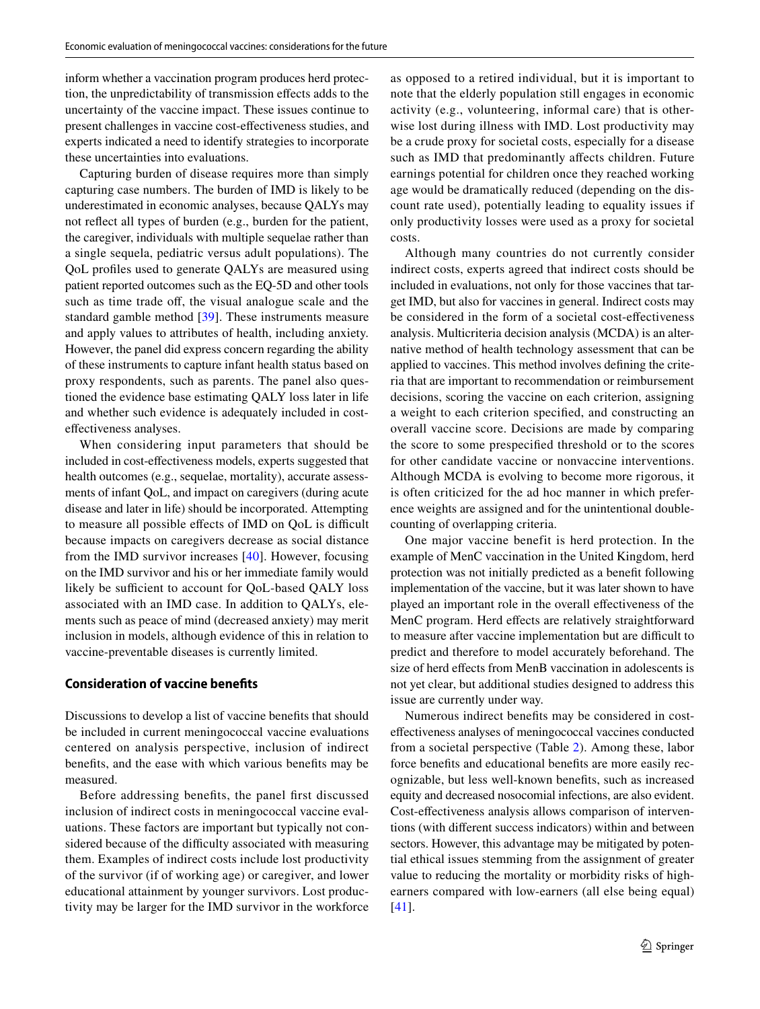inform whether a vaccination program produces herd protection, the unpredictability of transmission efects adds to the uncertainty of the vaccine impact. These issues continue to present challenges in vaccine cost-efectiveness studies, and experts indicated a need to identify strategies to incorporate these uncertainties into evaluations.

Capturing burden of disease requires more than simply capturing case numbers. The burden of IMD is likely to be underestimated in economic analyses, because QALYs may not refect all types of burden (e.g., burden for the patient, the caregiver, individuals with multiple sequelae rather than a single sequela, pediatric versus adult populations). The QoL profles used to generate QALYs are measured using patient reported outcomes such as the EQ-5D and other tools such as time trade off, the visual analogue scale and the standard gamble method [\[39](#page-12-4)]. These instruments measure and apply values to attributes of health, including anxiety. However, the panel did express concern regarding the ability of these instruments to capture infant health status based on proxy respondents, such as parents. The panel also questioned the evidence base estimating QALY loss later in life and whether such evidence is adequately included in costefectiveness analyses.

When considering input parameters that should be included in cost-efectiveness models, experts suggested that health outcomes (e.g., sequelae, mortality), accurate assessments of infant QoL, and impact on caregivers (during acute disease and later in life) should be incorporated. Attempting to measure all possible effects of IMD on QoL is difficult because impacts on caregivers decrease as social distance from the IMD survivor increases [[40](#page-12-5)]. However, focusing on the IMD survivor and his or her immediate family would likely be sufficient to account for QoL-based QALY loss associated with an IMD case. In addition to QALYs, elements such as peace of mind (decreased anxiety) may merit inclusion in models, although evidence of this in relation to vaccine-preventable diseases is currently limited.

## **Consideration of vaccine benefts**

Discussions to develop a list of vaccine benefts that should be included in current meningococcal vaccine evaluations centered on analysis perspective, inclusion of indirect benefts, and the ease with which various benefts may be measured.

Before addressing benefts, the panel frst discussed inclusion of indirect costs in meningococcal vaccine evaluations. These factors are important but typically not considered because of the difficulty associated with measuring them. Examples of indirect costs include lost productivity of the survivor (if of working age) or caregiver, and lower educational attainment by younger survivors. Lost productivity may be larger for the IMD survivor in the workforce as opposed to a retired individual, but it is important to note that the elderly population still engages in economic activity (e.g., volunteering, informal care) that is otherwise lost during illness with IMD. Lost productivity may be a crude proxy for societal costs, especially for a disease such as IMD that predominantly afects children. Future earnings potential for children once they reached working age would be dramatically reduced (depending on the discount rate used), potentially leading to equality issues if only productivity losses were used as a proxy for societal costs.

Although many countries do not currently consider indirect costs, experts agreed that indirect costs should be included in evaluations, not only for those vaccines that target IMD, but also for vaccines in general. Indirect costs may be considered in the form of a societal cost-efectiveness analysis. Multicriteria decision analysis (MCDA) is an alternative method of health technology assessment that can be applied to vaccines. This method involves defning the criteria that are important to recommendation or reimbursement decisions, scoring the vaccine on each criterion, assigning a weight to each criterion specifed, and constructing an overall vaccine score. Decisions are made by comparing the score to some prespecifed threshold or to the scores for other candidate vaccine or nonvaccine interventions. Although MCDA is evolving to become more rigorous, it is often criticized for the ad hoc manner in which preference weights are assigned and for the unintentional doublecounting of overlapping criteria.

One major vaccine benefit is herd protection. In the example of MenC vaccination in the United Kingdom, herd protection was not initially predicted as a beneft following implementation of the vaccine, but it was later shown to have played an important role in the overall efectiveness of the MenC program. Herd effects are relatively straightforward to measure after vaccine implementation but are difficult to predict and therefore to model accurately beforehand. The size of herd efects from MenB vaccination in adolescents is not yet clear, but additional studies designed to address this issue are currently under way.

Numerous indirect benefts may be considered in costefectiveness analyses of meningococcal vaccines conducted from a societal perspective (Table [2](#page-7-0)). Among these, labor force benefts and educational benefts are more easily recognizable, but less well-known benefts, such as increased equity and decreased nosocomial infections, are also evident. Cost-efectiveness analysis allows comparison of interventions (with diferent success indicators) within and between sectors. However, this advantage may be mitigated by potential ethical issues stemming from the assignment of greater value to reducing the mortality or morbidity risks of highearners compared with low-earners (all else being equal) [[41\]](#page-12-6).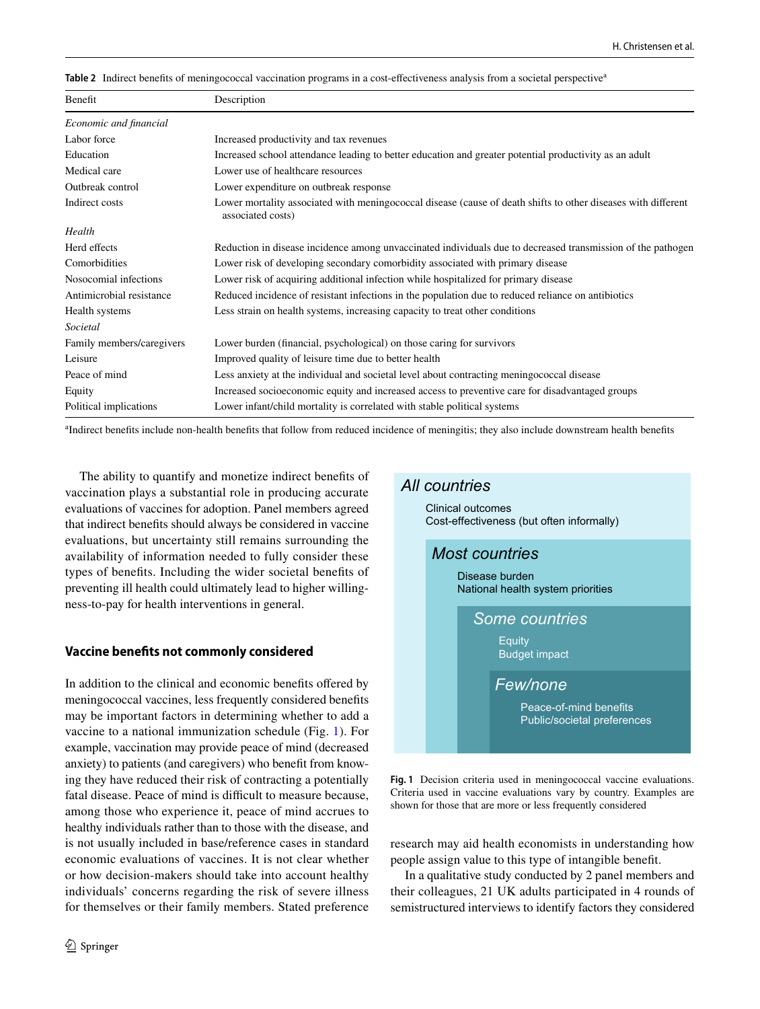| <b>Benefit</b>            | Description                                                                                                                        |
|---------------------------|------------------------------------------------------------------------------------------------------------------------------------|
| Economic and financial    |                                                                                                                                    |
| Labor force               | Increased productivity and tax revenues                                                                                            |
| Education                 | Increased school attendance leading to better education and greater potential productivity as an adult                             |
| Medical care              | Lower use of healthcare resources                                                                                                  |
| Outbreak control          | Lower expenditure on outbreak response                                                                                             |
| Indirect costs            | Lower mortality associated with meningococcal disease (cause of death shifts to other diseases with different<br>associated costs) |
| Health                    |                                                                                                                                    |
| Herd effects              | Reduction in disease incidence among unvaccinated individuals due to decreased transmission of the pathogen                        |
| Comorbidities             | Lower risk of developing secondary comorbidity associated with primary disease                                                     |
| Nosocomial infections     | Lower risk of acquiring additional infection while hospitalized for primary disease                                                |
| Antimicrobial resistance  | Reduced incidence of resistant infections in the population due to reduced reliance on antibiotics                                 |
| Health systems            | Less strain on health systems, increasing capacity to treat other conditions                                                       |
| Societal                  |                                                                                                                                    |
| Family members/caregivers | Lower burden (financial, psychological) on those caring for survivors                                                              |
| Leisure                   | Improved quality of leisure time due to better health                                                                              |
| Peace of mind             | Less anxiety at the individual and societal level about contracting mening occocal disease                                         |
| Equity                    | Increased socioeconomic equity and increased access to preventive care for disadvantaged groups                                    |
| Political implications    | Lower infant/child mortality is correlated with stable political systems                                                           |

<span id="page-7-0"></span>**Table 2** Indirect benefits of meningococcal vaccination programs in a cost-effectiveness analysis from a societal perspective<sup>a</sup>

<sup>a</sup>Indirect benefits include non-health benefits that follow from reduced incidence of meningitis; they also include downstream health benefits

The ability to quantify and monetize indirect benefts of vaccination plays a substantial role in producing accurate evaluations of vaccines for adoption. Panel members agreed that indirect benefts should always be considered in vaccine evaluations, but uncertainty still remains surrounding the availability of information needed to fully consider these types of benefts. Including the wider societal benefts of preventing ill health could ultimately lead to higher willingness-to-pay for health interventions in general.

# **Vaccine benefts not commonly considered**

In addition to the clinical and economic benefts ofered by meningococcal vaccines, less frequently considered benefts may be important factors in determining whether to add a vaccine to a national immunization schedule (Fig. [1](#page-7-1)). For example, vaccination may provide peace of mind (decreased anxiety) to patients (and caregivers) who beneft from knowing they have reduced their risk of contracting a potentially fatal disease. Peace of mind is difficult to measure because, among those who experience it, peace of mind accrues to healthy individuals rather than to those with the disease, and is not usually included in base/reference cases in standard economic evaluations of vaccines. It is not clear whether or how decision-makers should take into account healthy individuals' concerns regarding the risk of severe illness for themselves or their family members. Stated preference



National health system priorities

*Some countries* **Equity** Budget impact

*Few/none*

Peace-of-mind benefits Public/societal preferences

<span id="page-7-1"></span>**Fig. 1** Decision criteria used in meningococcal vaccine evaluations. Criteria used in vaccine evaluations vary by country. Examples are shown for those that are more or less frequently considered

research may aid health economists in understanding how people assign value to this type of intangible beneft.

In a qualitative study conducted by 2 panel members and their colleagues, 21 UK adults participated in 4 rounds of semistructured interviews to identify factors they considered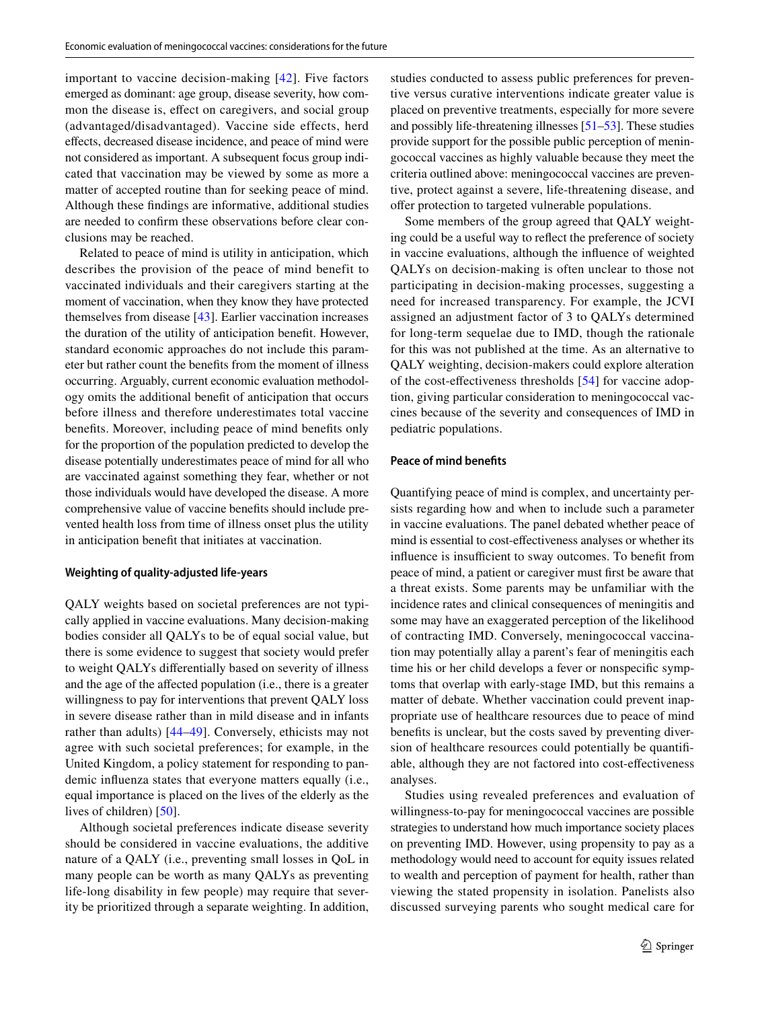important to vaccine decision-making [[42\]](#page-12-7). Five factors emerged as dominant: age group, disease severity, how common the disease is, effect on caregivers, and social group (advantaged/disadvantaged). Vaccine side effects, herd efects, decreased disease incidence, and peace of mind were not considered as important. A subsequent focus group indicated that vaccination may be viewed by some as more a matter of accepted routine than for seeking peace of mind. Although these fndings are informative, additional studies are needed to confrm these observations before clear conclusions may be reached.

Related to peace of mind is utility in anticipation, which describes the provision of the peace of mind benefit to vaccinated individuals and their caregivers starting at the moment of vaccination, when they know they have protected themselves from disease [[43](#page-12-8)]. Earlier vaccination increases the duration of the utility of anticipation beneft. However, standard economic approaches do not include this parameter but rather count the benefts from the moment of illness occurring. Arguably, current economic evaluation methodology omits the additional beneft of anticipation that occurs before illness and therefore underestimates total vaccine benefts. Moreover, including peace of mind benefts only for the proportion of the population predicted to develop the disease potentially underestimates peace of mind for all who are vaccinated against something they fear, whether or not those individuals would have developed the disease. A more comprehensive value of vaccine benefts should include prevented health loss from time of illness onset plus the utility in anticipation beneft that initiates at vaccination.

#### **Weighting of quality‑adjusted life‑years**

QALY weights based on societal preferences are not typically applied in vaccine evaluations. Many decision-making bodies consider all QALYs to be of equal social value, but there is some evidence to suggest that society would prefer to weight QALYs diferentially based on severity of illness and the age of the afected population (i.e., there is a greater willingness to pay for interventions that prevent QALY loss in severe disease rather than in mild disease and in infants rather than adults) [\[44–](#page-12-9)[49](#page-12-10)]. Conversely, ethicists may not agree with such societal preferences; for example, in the United Kingdom, a policy statement for responding to pandemic infuenza states that everyone matters equally (i.e., equal importance is placed on the lives of the elderly as the lives of children) [\[50](#page-12-11)].

Although societal preferences indicate disease severity should be considered in vaccine evaluations, the additive nature of a QALY (i.e., preventing small losses in QoL in many people can be worth as many QALYs as preventing life-long disability in few people) may require that severity be prioritized through a separate weighting. In addition, studies conducted to assess public preferences for preventive versus curative interventions indicate greater value is placed on preventive treatments, especially for more severe and possibly life-threatening illnesses [[51](#page-12-12)[–53](#page-12-13)]. These studies provide support for the possible public perception of meningococcal vaccines as highly valuable because they meet the criteria outlined above: meningococcal vaccines are preventive, protect against a severe, life-threatening disease, and offer protection to targeted vulnerable populations.

Some members of the group agreed that QALY weighting could be a useful way to reflect the preference of society in vaccine evaluations, although the infuence of weighted QALYs on decision-making is often unclear to those not participating in decision-making processes, suggesting a need for increased transparency. For example, the JCVI assigned an adjustment factor of 3 to QALYs determined for long-term sequelae due to IMD, though the rationale for this was not published at the time. As an alternative to QALY weighting, decision-makers could explore alteration of the cost-efectiveness thresholds [\[54\]](#page-12-14) for vaccine adoption, giving particular consideration to meningococcal vaccines because of the severity and consequences of IMD in pediatric populations.

#### **Peace of mind benefts**

Quantifying peace of mind is complex, and uncertainty persists regarding how and when to include such a parameter in vaccine evaluations. The panel debated whether peace of mind is essential to cost-efectiveness analyses or whether its influence is insufficient to sway outcomes. To benefit from peace of mind, a patient or caregiver must frst be aware that a threat exists. Some parents may be unfamiliar with the incidence rates and clinical consequences of meningitis and some may have an exaggerated perception of the likelihood of contracting IMD. Conversely, meningococcal vaccination may potentially allay a parent's fear of meningitis each time his or her child develops a fever or nonspecifc symptoms that overlap with early-stage IMD, but this remains a matter of debate. Whether vaccination could prevent inappropriate use of healthcare resources due to peace of mind benefts is unclear, but the costs saved by preventing diversion of healthcare resources could potentially be quantifable, although they are not factored into cost-efectiveness analyses.

Studies using revealed preferences and evaluation of willingness-to-pay for meningococcal vaccines are possible strategies to understand how much importance society places on preventing IMD. However, using propensity to pay as a methodology would need to account for equity issues related to wealth and perception of payment for health, rather than viewing the stated propensity in isolation. Panelists also discussed surveying parents who sought medical care for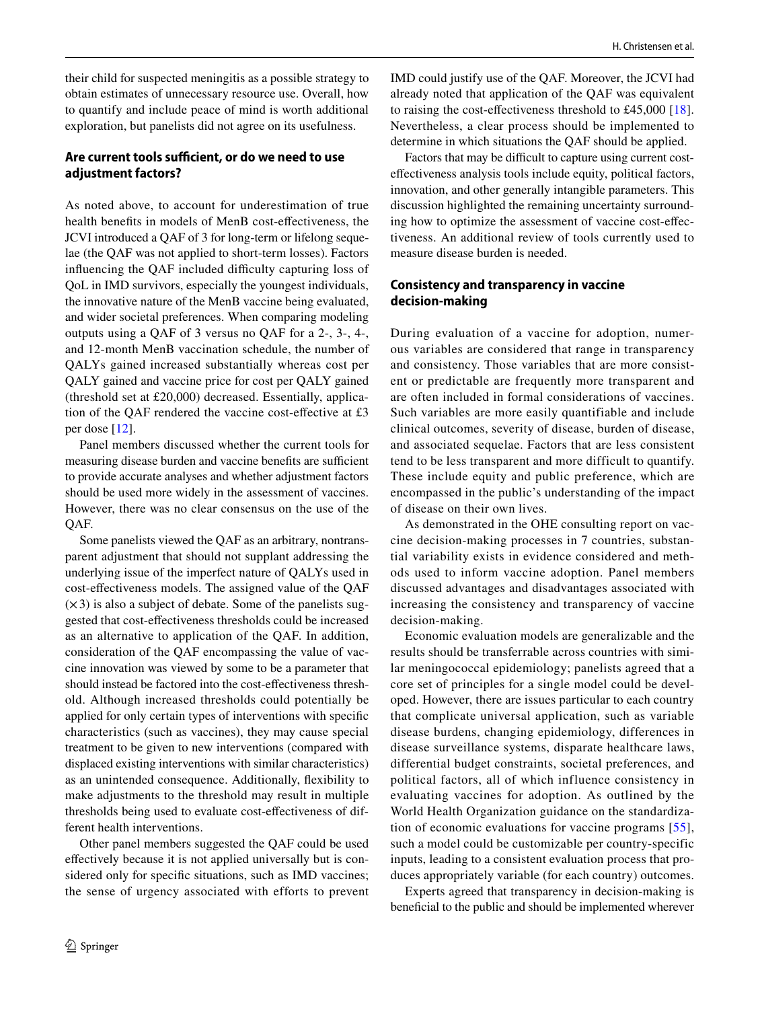their child for suspected meningitis as a possible strategy to obtain estimates of unnecessary resource use. Overall, how to quantify and include peace of mind is worth additional exploration, but panelists did not agree on its usefulness.

# Are current tools sufficient, or do we need to use **adjustment factors?**

As noted above, to account for underestimation of true health benefts in models of MenB cost-efectiveness, the JCVI introduced a QAF of 3 for long-term or lifelong sequelae (the QAF was not applied to short-term losses). Factors influencing the QAF included difficulty capturing loss of QoL in IMD survivors, especially the youngest individuals, the innovative nature of the MenB vaccine being evaluated, and wider societal preferences. When comparing modeling outputs using a QAF of 3 versus no QAF for a 2-, 3-, 4-, and 12-month MenB vaccination schedule, the number of QALYs gained increased substantially whereas cost per QALY gained and vaccine price for cost per QALY gained (threshold set at £20,000) decreased. Essentially, application of the QAF rendered the vaccine cost-efective at £3 per dose [[12\]](#page-11-6).

Panel members discussed whether the current tools for measuring disease burden and vaccine benefits are sufficient to provide accurate analyses and whether adjustment factors should be used more widely in the assessment of vaccines. However, there was no clear consensus on the use of the QAF.

Some panelists viewed the QAF as an arbitrary, nontransparent adjustment that should not supplant addressing the underlying issue of the imperfect nature of QALYs used in cost-efectiveness models. The assigned value of the QAF  $(\times 3)$  is also a subject of debate. Some of the panelists suggested that cost-efectiveness thresholds could be increased as an alternative to application of the QAF. In addition, consideration of the QAF encompassing the value of vaccine innovation was viewed by some to be a parameter that should instead be factored into the cost-efectiveness threshold. Although increased thresholds could potentially be applied for only certain types of interventions with specifc characteristics (such as vaccines), they may cause special treatment to be given to new interventions (compared with displaced existing interventions with similar characteristics) as an unintended consequence. Additionally, fexibility to make adjustments to the threshold may result in multiple thresholds being used to evaluate cost-efectiveness of different health interventions.

Other panel members suggested the QAF could be used efectively because it is not applied universally but is considered only for specifc situations, such as IMD vaccines; the sense of urgency associated with efforts to prevent IMD could justify use of the QAF. Moreover, the JCVI had already noted that application of the QAF was equivalent to raising the cost-efectiveness threshold to £45,000 [\[18](#page-11-9)]. Nevertheless, a clear process should be implemented to determine in which situations the QAF should be applied.

Factors that may be difficult to capture using current costefectiveness analysis tools include equity, political factors, innovation, and other generally intangible parameters. This discussion highlighted the remaining uncertainty surrounding how to optimize the assessment of vaccine cost-efectiveness. An additional review of tools currently used to measure disease burden is needed.

# **Consistency and transparency in vaccine decision‑making**

During evaluation of a vaccine for adoption, numerous variables are considered that range in transparency and consistency. Those variables that are more consistent or predictable are frequently more transparent and are often included in formal considerations of vaccines. Such variables are more easily quantifiable and include clinical outcomes, severity of disease, burden of disease, and associated sequelae. Factors that are less consistent tend to be less transparent and more difficult to quantify. These include equity and public preference, which are encompassed in the public's understanding of the impact of disease on their own lives.

As demonstrated in the OHE consulting report on vaccine decision-making processes in 7 countries, substantial variability exists in evidence considered and methods used to inform vaccine adoption. Panel members discussed advantages and disadvantages associated with increasing the consistency and transparency of vaccine decision-making.

Economic evaluation models are generalizable and the results should be transferrable across countries with similar meningococcal epidemiology; panelists agreed that a core set of principles for a single model could be developed. However, there are issues particular to each country that complicate universal application, such as variable disease burdens, changing epidemiology, differences in disease surveillance systems, disparate healthcare laws, differential budget constraints, societal preferences, and political factors, all of which influence consistency in evaluating vaccines for adoption. As outlined by the World Health Organization guidance on the standardization of economic evaluations for vaccine programs [[55](#page-12-15)], such a model could be customizable per country-specific inputs, leading to a consistent evaluation process that produces appropriately variable (for each country) outcomes.

Experts agreed that transparency in decision-making is benefcial to the public and should be implemented wherever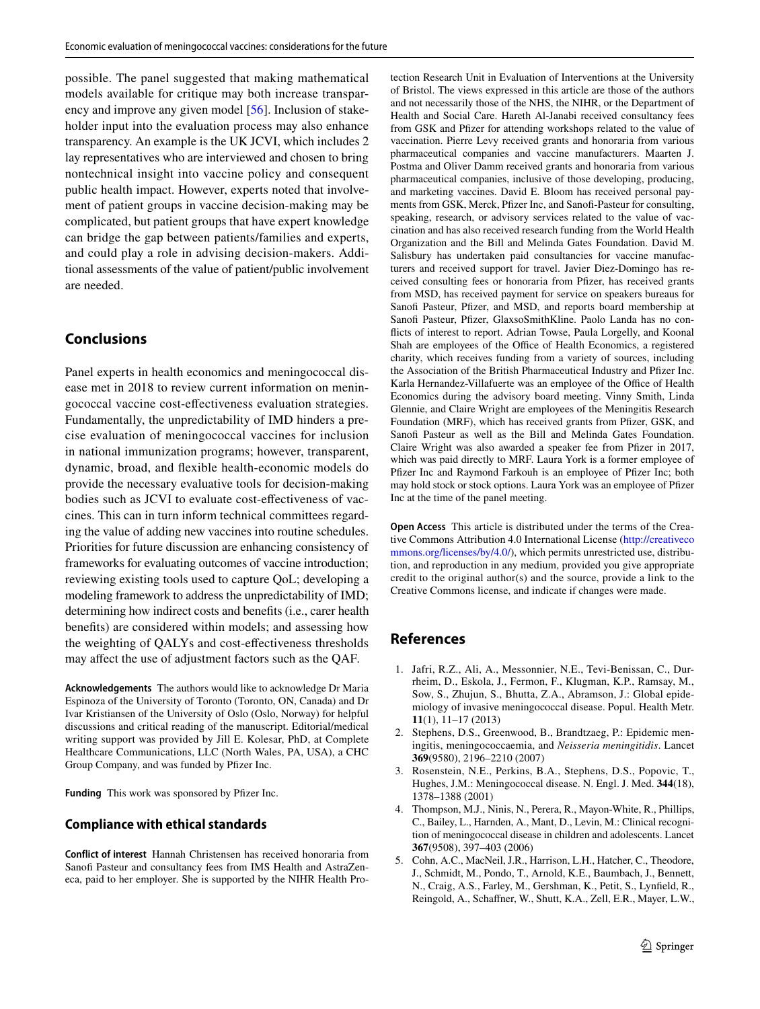possible. The panel suggested that making mathematical models available for critique may both increase transpar-ency and improve any given model [\[56](#page-12-16)]. Inclusion of stakeholder input into the evaluation process may also enhance transparency. An example is the UK JCVI, which includes 2 lay representatives who are interviewed and chosen to bring nontechnical insight into vaccine policy and consequent public health impact. However, experts noted that involvement of patient groups in vaccine decision-making may be complicated, but patient groups that have expert knowledge can bridge the gap between patients/families and experts, and could play a role in advising decision-makers. Additional assessments of the value of patient/public involvement are needed.

# **Conclusions**

Panel experts in health economics and meningococcal disease met in 2018 to review current information on meningococcal vaccine cost-efectiveness evaluation strategies. Fundamentally, the unpredictability of IMD hinders a precise evaluation of meningococcal vaccines for inclusion in national immunization programs; however, transparent, dynamic, broad, and fexible health-economic models do provide the necessary evaluative tools for decision-making bodies such as JCVI to evaluate cost-efectiveness of vaccines. This can in turn inform technical committees regarding the value of adding new vaccines into routine schedules. Priorities for future discussion are enhancing consistency of frameworks for evaluating outcomes of vaccine introduction; reviewing existing tools used to capture QoL; developing a modeling framework to address the unpredictability of IMD; determining how indirect costs and benefts (i.e., carer health benefts) are considered within models; and assessing how the weighting of QALYs and cost-efectiveness thresholds may afect the use of adjustment factors such as the QAF.

**Acknowledgements** The authors would like to acknowledge Dr Maria Espinoza of the University of Toronto (Toronto, ON, Canada) and Dr Ivar Kristiansen of the University of Oslo (Oslo, Norway) for helpful discussions and critical reading of the manuscript. Editorial/medical writing support was provided by Jill E. Kolesar, PhD, at Complete Healthcare Communications, LLC (North Wales, PA, USA), a CHC Group Company, and was funded by Pfzer Inc.

Funding This work was sponsored by Pfizer Inc.

### **Compliance with ethical standards**

**Conflict of interest** Hannah Christensen has received honoraria from Sanofi Pasteur and consultancy fees from IMS Health and AstraZeneca, paid to her employer. She is supported by the NIHR Health Protection Research Unit in Evaluation of Interventions at the University of Bristol. The views expressed in this article are those of the authors and not necessarily those of the NHS, the NIHR, or the Department of Health and Social Care. Hareth Al-Janabi received consultancy fees from GSK and Pfizer for attending workshops related to the value of vaccination. Pierre Levy received grants and honoraria from various pharmaceutical companies and vaccine manufacturers. Maarten J. Postma and Oliver Damm received grants and honoraria from various pharmaceutical companies, inclusive of those developing, producing, and marketing vaccines. David E. Bloom has received personal payments from GSK, Merck, Pfizer Inc, and Sanofi-Pasteur for consulting, speaking, research, or advisory services related to the value of vaccination and has also received research funding from the World Health Organization and the Bill and Melinda Gates Foundation. David M. Salisbury has undertaken paid consultancies for vaccine manufacturers and received support for travel. Javier Diez-Domingo has received consulting fees or honoraria from Pfzer, has received grants from MSD, has received payment for service on speakers bureaus for Sanofi Pasteur, Pfizer, and MSD, and reports board membership at Sanofi Pasteur, Pfizer, GlaxsoSmithKline. Paolo Landa has no conficts of interest to report. Adrian Towse, Paula Lorgelly, and Koonal Shah are employees of the Office of Health Economics, a registered charity, which receives funding from a variety of sources, including the Association of the British Pharmaceutical Industry and Pfizer Inc. Karla Hernandez-Villafuerte was an employee of the Office of Health Economics during the advisory board meeting. Vinny Smith, Linda Glennie, and Claire Wright are employees of the Meningitis Research Foundation (MRF), which has received grants from Pfizer, GSK, and Sanofi Pasteur as well as the Bill and Melinda Gates Foundation. Claire Wright was also awarded a speaker fee from Pfizer in 2017, which was paid directly to MRF. Laura York is a former employee of Pfizer Inc and Raymond Farkouh is an employee of Pfizer Inc; both may hold stock or stock options. Laura York was an employee of Pfzer Inc at the time of the panel meeting.

**Open Access** This article is distributed under the terms of the Creative Commons Attribution 4.0 International License ([http://creativeco](http://creativecommons.org/licenses/by/4.0/) [mmons.org/licenses/by/4.0/](http://creativecommons.org/licenses/by/4.0/)), which permits unrestricted use, distribution, and reproduction in any medium, provided you give appropriate credit to the original author(s) and the source, provide a link to the Creative Commons license, and indicate if changes were made.

## **References**

- <span id="page-10-0"></span>1. Jafri, R.Z., Ali, A., Messonnier, N.E., Tevi-Benissan, C., Durrheim, D., Eskola, J., Fermon, F., Klugman, K.P., Ramsay, M., Sow, S., Zhujun, S., Bhutta, Z.A., Abramson, J.: Global epidemiology of invasive meningococcal disease. Popul. Health Metr. **11**(1), 11–17 (2013)
- <span id="page-10-1"></span>2. Stephens, D.S., Greenwood, B., Brandtzaeg, P.: Epidemic meningitis, meningococcaemia, and *Neisseria meningitidis*. Lancet **369**(9580), 2196–2210 (2007)
- <span id="page-10-2"></span>3. Rosenstein, N.E., Perkins, B.A., Stephens, D.S., Popovic, T., Hughes, J.M.: Meningococcal disease. N. Engl. J. Med. **344**(18), 1378–1388 (2001)
- <span id="page-10-3"></span>4. Thompson, M.J., Ninis, N., Perera, R., Mayon-White, R., Phillips, C., Bailey, L., Harnden, A., Mant, D., Levin, M.: Clinical recognition of meningococcal disease in children and adolescents. Lancet **367**(9508), 397–403 (2006)
- <span id="page-10-4"></span>5. Cohn, A.C., MacNeil, J.R., Harrison, L.H., Hatcher, C., Theodore, J., Schmidt, M., Pondo, T., Arnold, K.E., Baumbach, J., Bennett, N., Craig, A.S., Farley, M., Gershman, K., Petit, S., Lynfeld, R., Reingold, A., Schafner, W., Shutt, K.A., Zell, E.R., Mayer, L.W.,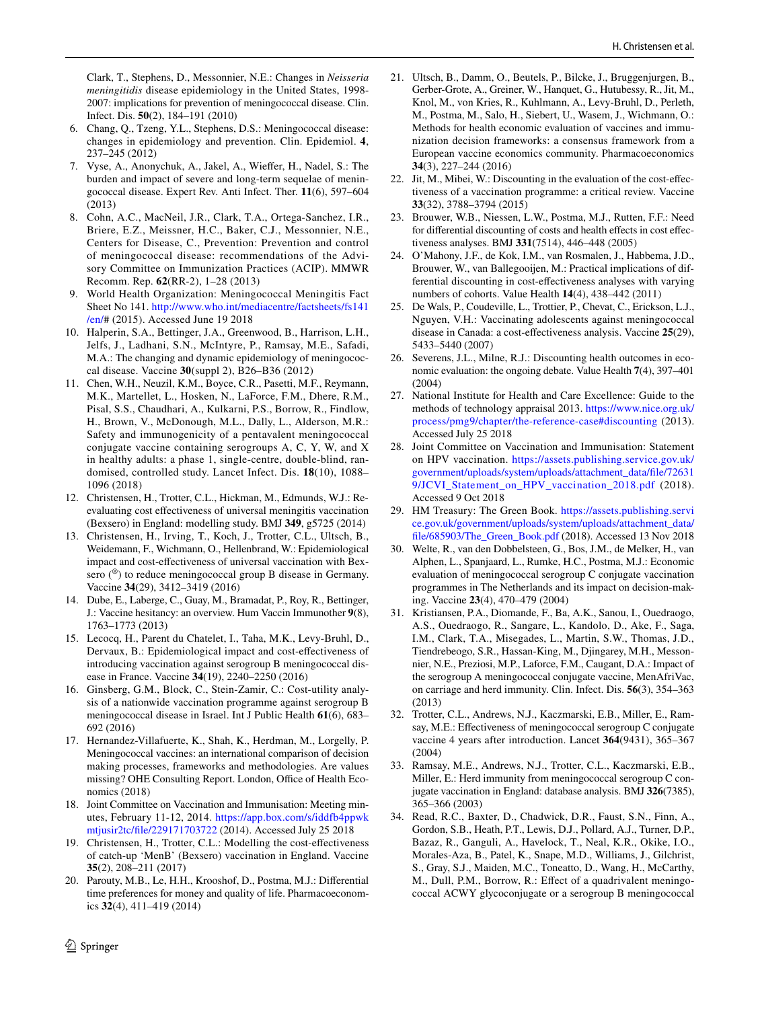Clark, T., Stephens, D., Messonnier, N.E.: Changes in *Neisseria meningitidis* disease epidemiology in the United States, 1998- 2007: implications for prevention of meningococcal disease. Clin. Infect. Dis. **50**(2), 184–191 (2010)

- <span id="page-11-0"></span>6. Chang, Q., Tzeng, Y.L., Stephens, D.S.: Meningococcal disease: changes in epidemiology and prevention. Clin. Epidemiol. **4**, 237–245 (2012)
- <span id="page-11-1"></span>7. Vyse, A., Anonychuk, A., Jakel, A., Wiefer, H., Nadel, S.: The burden and impact of severe and long-term sequelae of meningococcal disease. Expert Rev. Anti Infect. Ther. **11**(6), 597–604 (2013)
- <span id="page-11-2"></span>8. Cohn, A.C., MacNeil, J.R., Clark, T.A., Ortega-Sanchez, I.R., Briere, E.Z., Meissner, H.C., Baker, C.J., Messonnier, N.E., Centers for Disease, C., Prevention: Prevention and control of meningococcal disease: recommendations of the Advisory Committee on Immunization Practices (ACIP). MMWR Recomm. Rep. **62**(RR-2), 1–28 (2013)
- <span id="page-11-3"></span>9. World Health Organization: Meningococcal Meningitis Fact Sheet No 141. [http://www.who.int/mediacentre/factsheets/fs141](http://www.who.int/mediacentre/factsheets/fs141/en/) [/en/](http://www.who.int/mediacentre/factsheets/fs141/en/)# (2015). Accessed June 19 2018
- <span id="page-11-4"></span>10. Halperin, S.A., Bettinger, J.A., Greenwood, B., Harrison, L.H., Jelfs, J., Ladhani, S.N., McIntyre, P., Ramsay, M.E., Safadi, M.A.: The changing and dynamic epidemiology of meningococcal disease. Vaccine **30**(suppl 2), B26–B36 (2012)
- <span id="page-11-5"></span>11. Chen, W.H., Neuzil, K.M., Boyce, C.R., Pasetti, M.F., Reymann, M.K., Martellet, L., Hosken, N., LaForce, F.M., Dhere, R.M., Pisal, S.S., Chaudhari, A., Kulkarni, P.S., Borrow, R., Findlow, H., Brown, V., McDonough, M.L., Dally, L., Alderson, M.R.: Safety and immunogenicity of a pentavalent meningococcal conjugate vaccine containing serogroups A, C, Y, W, and X in healthy adults: a phase 1, single-centre, double-blind, randomised, controlled study. Lancet Infect. Dis. **18**(10), 1088– 1096 (2018)
- <span id="page-11-6"></span>12. Christensen, H., Trotter, C.L., Hickman, M., Edmunds, W.J.: Reevaluating cost efectiveness of universal meningitis vaccination (Bexsero) in England: modelling study. BMJ **349**, g5725 (2014)
- <span id="page-11-10"></span>13. Christensen, H., Irving, T., Koch, J., Trotter, C.L., Ultsch, B., Weidemann, F., Wichmann, O., Hellenbrand, W.: Epidemiological impact and cost-efectiveness of universal vaccination with Bexsero (<sup>®</sup>) to reduce meningococcal group B disease in Germany. Vaccine **34**(29), 3412–3419 (2016)
- 14. Dube, E., Laberge, C., Guay, M., Bramadat, P., Roy, R., Bettinger, J.: Vaccine hesitancy: an overview. Hum Vaccin Immunother **9**(8), 1763–1773 (2013)
- 15. Lecocq, H., Parent du Chatelet, I., Taha, M.K., Levy-Bruhl, D., Dervaux, B.: Epidemiological impact and cost-efectiveness of introducing vaccination against serogroup B meningococcal disease in France. Vaccine **34**(19), 2240–2250 (2016)
- <span id="page-11-7"></span>16. Ginsberg, G.M., Block, C., Stein-Zamir, C.: Cost-utility analysis of a nationwide vaccination programme against serogroup B meningococcal disease in Israel. Int J Public Health **61**(6), 683– 692 (2016)
- <span id="page-11-8"></span>17. Hernandez-Villafuerte, K., Shah, K., Herdman, M., Lorgelly, P. Meningococcal vaccines: an international comparison of decision making processes, frameworks and methodologies. Are values missing? OHE Consulting Report. London, Office of Health Economics (2018)
- <span id="page-11-9"></span>18. Joint Committee on Vaccination and Immunisation: Meeting minutes, February 11-12, 2014. [https://app.box.com/s/iddfb4ppwk](https://app.box.com/s/iddfb4ppwkmtjusir2tc/file/229171703722) [mtjusir2tc/fle/229171703722](https://app.box.com/s/iddfb4ppwkmtjusir2tc/file/229171703722) (2014). Accessed July 25 2018
- <span id="page-11-11"></span>19. Christensen, H., Trotter, C.L.: Modelling the cost-efectiveness of catch-up 'MenB' (Bexsero) vaccination in England. Vaccine **35**(2), 208–211 (2017)
- <span id="page-11-12"></span>20. Parouty, M.B., Le, H.H., Krooshof, D., Postma, M.J.: Diferential time preferences for money and quality of life. Pharmacoeconomics **32**(4), 411–419 (2014)
- <span id="page-11-13"></span>21. Ultsch, B., Damm, O., Beutels, P., Bilcke, J., Bruggenjurgen, B., Gerber-Grote, A., Greiner, W., Hanquet, G., Hutubessy, R., Jit, M., Knol, M., von Kries, R., Kuhlmann, A., Levy-Bruhl, D., Perleth, M., Postma, M., Salo, H., Siebert, U., Wasem, J., Wichmann, O.: Methods for health economic evaluation of vaccines and immunization decision frameworks: a consensus framework from a European vaccine economics community. Pharmacoeconomics **34**(3), 227–244 (2016)
- <span id="page-11-14"></span>22. Jit, M., Mibei, W.: Discounting in the evaluation of the cost-efectiveness of a vaccination programme: a critical review. Vaccine **33**(32), 3788–3794 (2015)
- <span id="page-11-15"></span>23. Brouwer, W.B., Niessen, L.W., Postma, M.J., Rutten, F.F.: Need for differential discounting of costs and health effects in cost effectiveness analyses. BMJ **331**(7514), 446–448 (2005)
- <span id="page-11-16"></span>24. O'Mahony, J.F., de Kok, I.M., van Rosmalen, J., Habbema, J.D., Brouwer, W., van Ballegooijen, M.: Practical implications of differential discounting in cost-efectiveness analyses with varying numbers of cohorts. Value Health **14**(4), 438–442 (2011)
- <span id="page-11-17"></span>25. De Wals, P., Coudeville, L., Trottier, P., Chevat, C., Erickson, L.J., Nguyen, V.H.: Vaccinating adolescents against meningococcal disease in Canada: a cost-efectiveness analysis. Vaccine **25**(29), 5433–5440 (2007)
- <span id="page-11-18"></span>26. Severens, J.L., Milne, R.J.: Discounting health outcomes in economic evaluation: the ongoing debate. Value Health **7**(4), 397–401 (2004)
- <span id="page-11-19"></span>27. National Institute for Health and Care Excellence: Guide to the methods of technology appraisal 2013. [https://www.nice.org.uk/](https://www.nice.org.uk/process/pmg9/chapter/the-reference-case#discounting) [process/pmg9/chapter/the-reference-case#discounting](https://www.nice.org.uk/process/pmg9/chapter/the-reference-case#discounting) (2013). Accessed July 25 2018
- 28. Joint Committee on Vaccination and Immunisation: Statement on HPV vaccination. [https://assets.publishing.service.gov.uk/](https://assets.publishing.service.gov.uk/government/uploads/system/uploads/attachment_data/file/726319/JCVI_Statement_on_HPV_vaccination_2018.pdf) [government/uploads/system/uploads/attachment\\_data/fle/72631](https://assets.publishing.service.gov.uk/government/uploads/system/uploads/attachment_data/file/726319/JCVI_Statement_on_HPV_vaccination_2018.pdf) [9/JCVI\\_Statement\\_on\\_HPV\\_vaccination\\_2018.pdf](https://assets.publishing.service.gov.uk/government/uploads/system/uploads/attachment_data/file/726319/JCVI_Statement_on_HPV_vaccination_2018.pdf) (2018). Accessed 9 Oct 2018
- <span id="page-11-20"></span>29. HM Treasury: The Green Book. [https://assets.publishing.servi](https://assets.publishing.service.gov.uk/government/uploads/system/uploads/attachment_data/file/685903/The_Green_Book.pdf) [ce.gov.uk/government/uploads/system/uploads/attachment\\_data/](https://assets.publishing.service.gov.uk/government/uploads/system/uploads/attachment_data/file/685903/The_Green_Book.pdf) [fle/685903/The\\_Green\\_Book.pdf](https://assets.publishing.service.gov.uk/government/uploads/system/uploads/attachment_data/file/685903/The_Green_Book.pdf) (2018). Accessed 13 Nov 2018
- <span id="page-11-21"></span>30. Welte, R., van den Dobbelsteen, G., Bos, J.M., de Melker, H., van Alphen, L., Spanjaard, L., Rumke, H.C., Postma, M.J.: Economic evaluation of meningococcal serogroup C conjugate vaccination programmes in The Netherlands and its impact on decision-making. Vaccine **23**(4), 470–479 (2004)
- <span id="page-11-22"></span>31. Kristiansen, P.A., Diomande, F., Ba, A.K., Sanou, I., Ouedraogo, A.S., Ouedraogo, R., Sangare, L., Kandolo, D., Ake, F., Saga, I.M., Clark, T.A., Misegades, L., Martin, S.W., Thomas, J.D., Tiendrebeogo, S.R., Hassan-King, M., Djingarey, M.H., Messonnier, N.E., Preziosi, M.P., Laforce, F.M., Caugant, D.A.: Impact of the serogroup A meningococcal conjugate vaccine, MenAfriVac, on carriage and herd immunity. Clin. Infect. Dis. **56**(3), 354–363 (2013)
- 32. Trotter, C.L., Andrews, N.J., Kaczmarski, E.B., Miller, E., Ramsay, M.E.: Efectiveness of meningococcal serogroup C conjugate vaccine 4 years after introduction. Lancet **364**(9431), 365–367 (2004)
- 33. Ramsay, M.E., Andrews, N.J., Trotter, C.L., Kaczmarski, E.B., Miller, E.: Herd immunity from meningococcal serogroup C conjugate vaccination in England: database analysis. BMJ **326**(7385), 365–366 (2003)
- <span id="page-11-23"></span>34. Read, R.C., Baxter, D., Chadwick, D.R., Faust, S.N., Finn, A., Gordon, S.B., Heath, P.T., Lewis, D.J., Pollard, A.J., Turner, D.P., Bazaz, R., Ganguli, A., Havelock, T., Neal, K.R., Okike, I.O., Morales-Aza, B., Patel, K., Snape, M.D., Williams, J., Gilchrist, S., Gray, S.J., Maiden, M.C., Toneatto, D., Wang, H., McCarthy, M., Dull, P.M., Borrow, R.: Efect of a quadrivalent meningococcal ACWY glycoconjugate or a serogroup B meningococcal